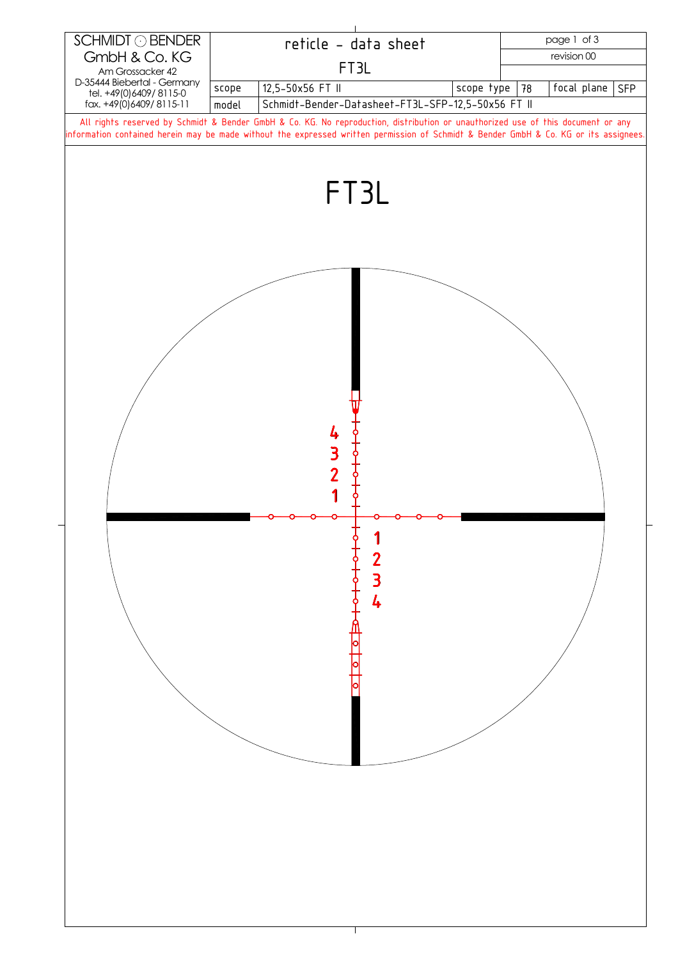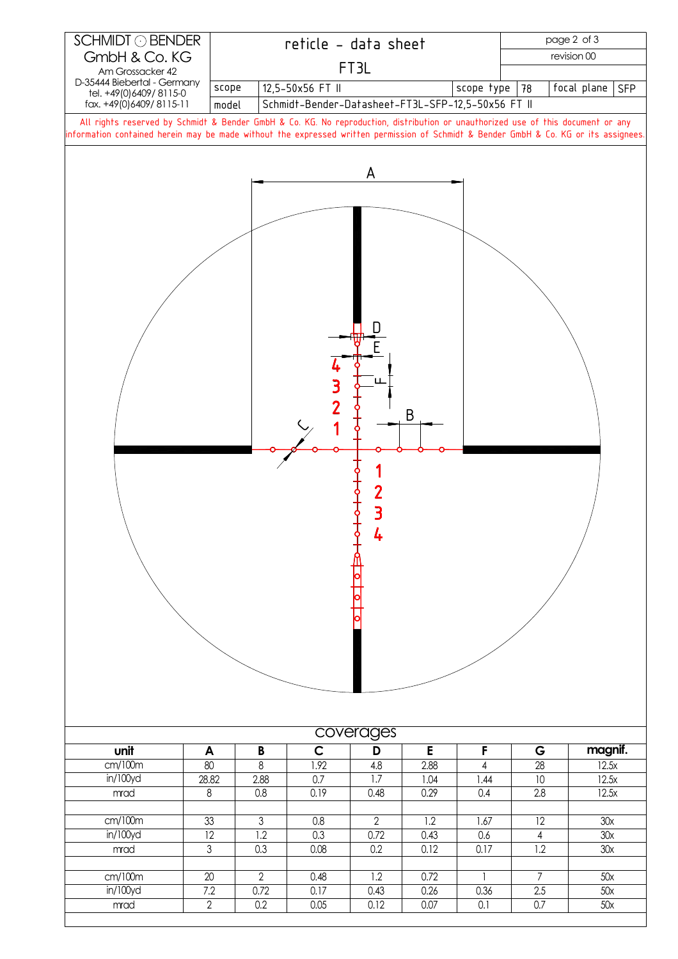